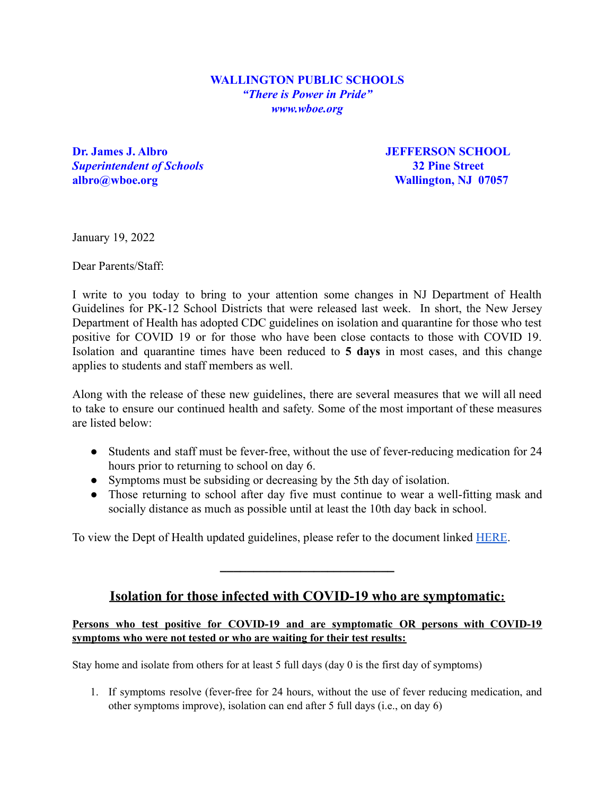## **WALLINGTON PUBLIC SCHOOLS** *"There is Power in Pride" www.wboe.org*

**Dr. James J. Albro** *JEFFERSON SCHOOL Superintendent of Schools* **32 Pine Street albro@wboe.org Wallington, NJ 07057**

January 19, 2022

Dear Parents/Staff:

I write to you today to bring to your attention some changes in NJ Department of Health Guidelines for PK-12 School Districts that were released last week. In short, the New Jersey Department of Health has adopted CDC guidelines on isolation and quarantine for those who test positive for COVID 19 or for those who have been close contacts to those with COVID 19. Isolation and quarantine times have been reduced to **5 days** in most cases, and this change applies to students and staff members as well.

Along with the release of these new guidelines, there are several measures that we will all need to take to ensure our continued health and safety. Some of the most important of these measures are listed below:

- Students and staff must be fever-free, without the use of fever-reducing medication for 24 hours prior to returning to school on day 6.
- Symptoms must be subsiding or decreasing by the 5th day of isolation.
- Those returning to school after day five must continue to wear a well-fitting mask and socially distance as much as possible until at least the 10th day back in school.

To view the Dept of Health updated guidelines, please refer to the document linked [HERE](https://www.state.nj.us/health/cd/documents/topics/NCOV/RecommendationsForLocalHealthDepts_K12Schools.pdf).

## **Isolation for those infected with COVID-19 who are symptomatic:**

**\_\_\_\_\_\_\_\_\_\_\_\_\_\_\_\_\_\_\_\_\_\_\_\_\_\_**

## **Persons who test positive for COVID-19 and are symptomatic OR persons with COVID-19 symptoms who were not tested or who are waiting for their test results:**

Stay home and isolate from others for at least 5 full days (day 0 is the first day of symptoms)

1. If symptoms resolve (fever-free for 24 hours, without the use of fever reducing medication, and other symptoms improve), isolation can end after 5 full days (i.e., on day 6)